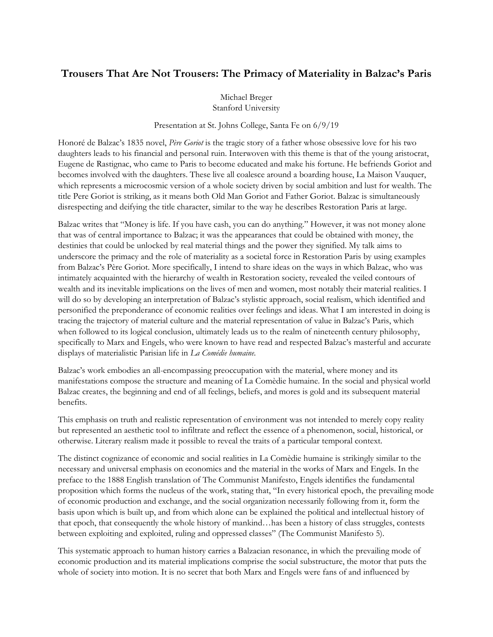## **Trousers That Are Not Trousers: The Primacy of Materiality in Balzac's Paris**

Michael Breger Stanford University

Presentation at St. Johns College, Santa Fe on 6/9/19

Honoré de Balzac's 1835 novel, *Père Goriot* is the tragic story of a father whose obsessive love for his two daughters leads to his financial and personal ruin. Interwoven with this theme is that of the young aristocrat, Eugene de Rastignac, who came to Paris to become educated and make his fortune. He befriends Goriot and becomes involved with the daughters. These live all coalesce around a boarding house, La Maison Vauquer, which represents a microcosmic version of a whole society driven by social ambition and lust for wealth. The title Pere Goriot is striking, as it means both Old Man Goriot and Father Goriot. Balzac is simultaneously disrespecting and deifying the title character, similar to the way he describes Restoration Paris at large.

Balzac writes that "Money is life. If you have cash, you can do anything." However, it was not money alone that was of central importance to Balzac; it was the appearances that could be obtained with money, the destinies that could be unlocked by real material things and the power they signified. My talk aims to underscore the primacy and the role of materiality as a societal force in Restoration Paris by using examples from Balzac's Père Goriot. More specifically, I intend to share ideas on the ways in which Balzac, who was intimately acquainted with the hierarchy of wealth in Restoration society, revealed the veiled contours of wealth and its inevitable implications on the lives of men and women, most notably their material realities. I will do so by developing an interpretation of Balzac's stylistic approach, social realism, which identified and personified the preponderance of economic realities over feelings and ideas. What I am interested in doing is tracing the trajectory of material culture and the material representation of value in Balzac's Paris, which when followed to its logical conclusion, ultimately leads us to the realm of nineteenth century philosophy, specifically to Marx and Engels, who were known to have read and respected Balzac's masterful and accurate displays of materialistic Parisian life in *La Comédie humaine*.

Balzac's work embodies an all-encompassing preoccupation with the material, where money and its manifestations compose the structure and meaning of La Comèdie humaine. In the social and physical world Balzac creates, the beginning and end of all feelings, beliefs, and mores is gold and its subsequent material benefits.

This emphasis on truth and realistic representation of environment was not intended to merely copy reality but represented an aesthetic tool to infiltrate and reflect the essence of a phenomenon, social, historical, or otherwise. Literary realism made it possible to reveal the traits of a particular temporal context.

The distinct cognizance of economic and social realities in La Comèdie humaine is strikingly similar to the necessary and universal emphasis on economics and the material in the works of Marx and Engels. In the preface to the 1888 English translation of The Communist Manifesto, Engels identifies the fundamental proposition which forms the nucleus of the work, stating that, "In every historical epoch, the prevailing mode of economic production and exchange, and the social organization necessarily following from it, form the basis upon which is built up, and from which alone can be explained the political and intellectual history of that epoch, that consequently the whole history of mankind…has been a history of class struggles, contests between exploiting and exploited, ruling and oppressed classes" (The Communist Manifesto 5).

This systematic approach to human history carries a Balzacian resonance, in which the prevailing mode of economic production and its material implications comprise the social substructure, the motor that puts the whole of society into motion. It is no secret that both Marx and Engels were fans of and influenced by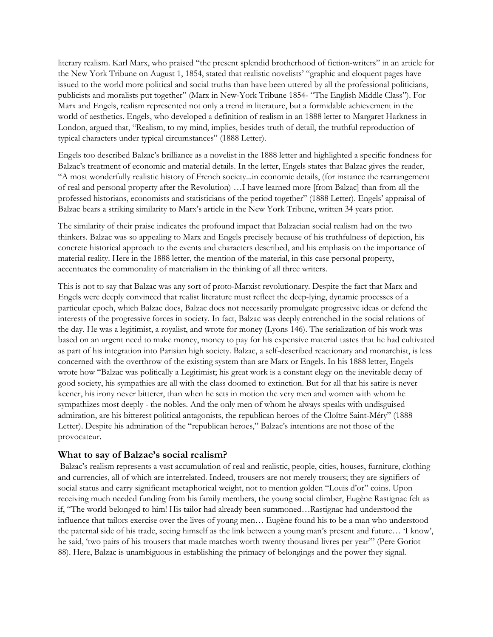literary realism. Karl Marx, who praised "the present splendid brotherhood of fiction-writers" in an article for the New York Tribune on August 1, 1854, stated that realistic novelists' "graphic and eloquent pages have issued to the world more political and social truths than have been uttered by all the professional politicians, publicists and moralists put together" (Marx in New-York Tribune 1854- "The English Middle Class"). For Marx and Engels, realism represented not only a trend in literature, but a formidable achievement in the world of aesthetics. Engels, who developed a definition of realism in an 1888 letter to Margaret Harkness in London, argued that, "Realism, to my mind, implies, besides truth of detail, the truthful reproduction of typical characters under typical circumstances" (1888 Letter).

Engels too described Balzac's brilliance as a novelist in the 1888 letter and highlighted a specific fondness for Balzac's treatment of economic and material details. In the letter, Engels states that Balzac gives the reader, "A most wonderfully realistic history of French society...in economic details, (for instance the rearrangement of real and personal property after the Revolution) …I have learned more [from Balzac] than from all the professed historians, economists and statisticians of the period together" (1888 Letter). Engels' appraisal of Balzac bears a striking similarity to Marx's article in the New York Tribune, written 34 years prior.

The similarity of their praise indicates the profound impact that Balzacian social realism had on the two thinkers. Balzac was so appealing to Marx and Engels precisely because of his truthfulness of depiction, his concrete historical approach to the events and characters described, and his emphasis on the importance of material reality. Here in the 1888 letter, the mention of the material, in this case personal property, accentuates the commonality of materialism in the thinking of all three writers.

This is not to say that Balzac was any sort of proto-Marxist revolutionary. Despite the fact that Marx and Engels were deeply convinced that realist literature must reflect the deep-lying, dynamic processes of a particular epoch, which Balzac does, Balzac does not necessarily promulgate progressive ideas or defend the interests of the progressive forces in society. In fact, Balzac was deeply entrenched in the social relations of the day. He was a legitimist, a royalist, and wrote for money (Lyons 146). The serialization of his work was based on an urgent need to make money, money to pay for his expensive material tastes that he had cultivated as part of his integration into Parisian high society. Balzac, a self-described reactionary and monarchist, is less concerned with the overthrow of the existing system than are Marx or Engels. In his 1888 letter, Engels wrote how "Balzac was politically a Legitimist; his great work is a constant elegy on the inevitable decay of good society, his sympathies are all with the class doomed to extinction. But for all that his satire is never keener, his irony never bitterer, than when he sets in motion the very men and women with whom he sympathizes most deeply - the nobles. And the only men of whom he always speaks with undisguised admiration, are his bitterest political antagonists, the republican heroes of the Cloître Saint-Méry" (1888 Letter). Despite his admiration of the "republican heroes," Balzac's intentions are not those of the provocateur.

## **What to say of Balzac's social realism?**

Balzac's realism represents a vast accumulation of real and realistic, people, cities, houses, furniture, clothing and currencies, all of which are interrelated. Indeed, trousers are not merely trousers; they are signifiers of social status and carry significant metaphorical weight, not to mention golden "Louis d'or" coins. Upon receiving much needed funding from his family members, the young social climber, Eugène Rastignac felt as if, "The world belonged to him! His tailor had already been summoned…Rastignac had understood the influence that tailors exercise over the lives of young men… Eugène found his to be a man who understood the paternal side of his trade, seeing himself as the link between a young man's present and future… 'I know', he said, 'two pairs of his trousers that made matches worth twenty thousand livres per year'" (Pere Goriot 88). Here, Balzac is unambiguous in establishing the primacy of belongings and the power they signal.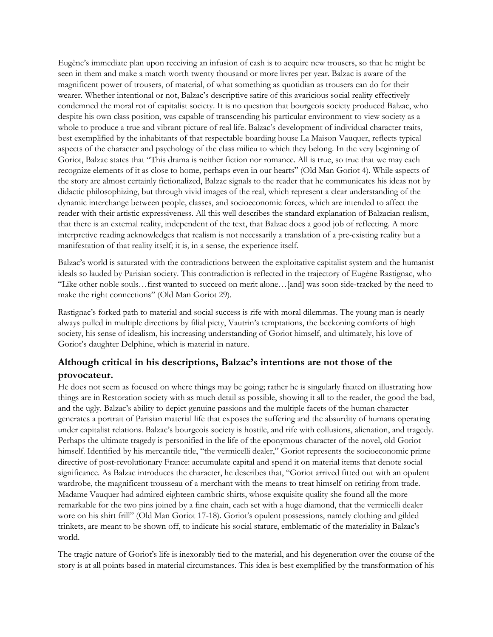Eugène's immediate plan upon receiving an infusion of cash is to acquire new trousers, so that he might be seen in them and make a match worth twenty thousand or more livres per year. Balzac is aware of the magnificent power of trousers, of material, of what something as quotidian as trousers can do for their wearer. Whether intentional or not, Balzac's descriptive satire of this avaricious social reality effectively condemned the moral rot of capitalist society. It is no question that bourgeois society produced Balzac, who despite his own class position, was capable of transcending his particular environment to view society as a whole to produce a true and vibrant picture of real life. Balzac's development of individual character traits, best exemplified by the inhabitants of that respectable boarding house La Maison Vauquer, reflects typical aspects of the character and psychology of the class milieu to which they belong. In the very beginning of Goriot, Balzac states that "This drama is neither fiction nor romance. All is true, so true that we may each recognize elements of it as close to home, perhaps even in our hearts" (Old Man Goriot 4). While aspects of the story are almost certainly fictionalized, Balzac signals to the reader that he communicates his ideas not by didactic philosophizing, but through vivid images of the real, which represent a clear understanding of the dynamic interchange between people, classes, and socioeconomic forces, which are intended to affect the reader with their artistic expressiveness. All this well describes the standard explanation of Balzacian realism, that there is an external reality, independent of the text, that Balzac does a good job of reflecting. A more interpretive reading acknowledges that realism is not necessarily a translation of a pre-existing reality but a manifestation of that reality itself; it is, in a sense, the experience itself.

Balzac's world is saturated with the contradictions between the exploitative capitalist system and the humanist ideals so lauded by Parisian society. This contradiction is reflected in the trajectory of Eugène Rastignac, who "Like other noble souls…first wanted to succeed on merit alone…[and] was soon side-tracked by the need to make the right connections" (Old Man Goriot 29).

Rastignac's forked path to material and social success is rife with moral dilemmas. The young man is nearly always pulled in multiple directions by filial piety, Vautrin's temptations, the beckoning comforts of high society, his sense of idealism, his increasing understanding of Goriot himself, and ultimately, his love of Goriot's daughter Delphine, which is material in nature.

## **Although critical in his descriptions, Balzac's intentions are not those of the provocateur.**

He does not seem as focused on where things may be going; rather he is singularly fixated on illustrating how things are in Restoration society with as much detail as possible, showing it all to the reader, the good the bad, and the ugly. Balzac's ability to depict genuine passions and the multiple facets of the human character generates a portrait of Parisian material life that exposes the suffering and the absurdity of humans operating under capitalist relations. Balzac's bourgeois society is hostile, and rife with collusions, alienation, and tragedy. Perhaps the ultimate tragedy is personified in the life of the eponymous character of the novel, old Goriot himself. Identified by his mercantile title, "the vermicelli dealer," Goriot represents the socioeconomic prime directive of post-revolutionary France: accumulate capital and spend it on material items that denote social significance. As Balzac introduces the character, he describes that, "Goriot arrived fitted out with an opulent wardrobe, the magnificent trousseau of a merchant with the means to treat himself on retiring from trade. Madame Vauquer had admired eighteen cambric shirts, whose exquisite quality she found all the more remarkable for the two pins joined by a fine chain, each set with a huge diamond, that the vermicelli dealer wore on his shirt frill" (Old Man Goriot 17-18). Goriot's opulent possessions, namely clothing and gilded trinkets, are meant to be shown off, to indicate his social stature, emblematic of the materiality in Balzac's world.

The tragic nature of Goriot's life is inexorably tied to the material, and his degeneration over the course of the story is at all points based in material circumstances. This idea is best exemplified by the transformation of his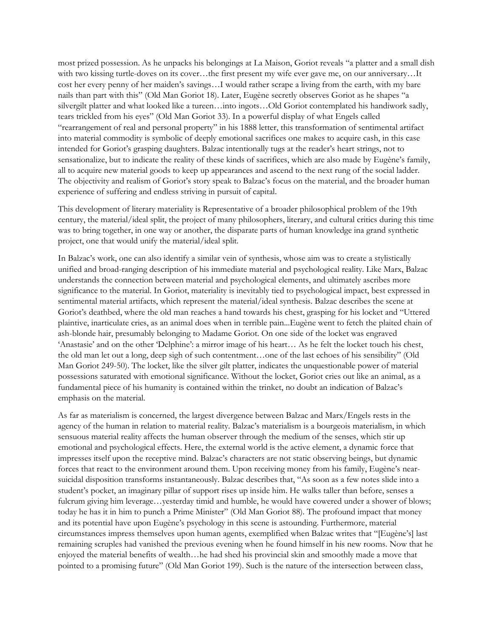most prized possession. As he unpacks his belongings at La Maison, Goriot reveals "a platter and a small dish with two kissing turtle-doves on its cover…the first present my wife ever gave me, on our anniversary…It cost her every penny of her maiden's savings…I would rather scrape a living from the earth, with my bare nails than part with this" (Old Man Goriot 18). Later, Eugène secretly observes Goriot as he shapes "a silvergilt platter and what looked like a tureen…into ingots…Old Goriot contemplated his handiwork sadly, tears trickled from his eyes" (Old Man Goriot 33). In a powerful display of what Engels called "rearrangement of real and personal property" in his 1888 letter, this transformation of sentimental artifact into material commodity is symbolic of deeply emotional sacrifices one makes to acquire cash, in this case intended for Goriot's grasping daughters. Balzac intentionally tugs at the reader's heart strings, not to sensationalize, but to indicate the reality of these kinds of sacrifices, which are also made by Eugène's family, all to acquire new material goods to keep up appearances and ascend to the next rung of the social ladder. The objectivity and realism of Goriot's story speak to Balzac's focus on the material, and the broader human experience of suffering and endless striving in pursuit of capital.

This development of literary materiality is Representative of a broader philosophical problem of the 19th century, the material/ideal split, the project of many philosophers, literary, and cultural critics during this time was to bring together, in one way or another, the disparate parts of human knowledge ina grand synthetic project, one that would unify the material/ideal split.

In Balzac's work, one can also identify a similar vein of synthesis, whose aim was to create a stylistically unified and broad-ranging description of his immediate material and psychological reality. Like Marx, Balzac understands the connection between material and psychological elements, and ultimately ascribes more significance to the material. In Goriot, materiality is inevitably tied to psychological impact, best expressed in sentimental material artifacts, which represent the material/ideal synthesis. Balzac describes the scene at Goriot's deathbed, where the old man reaches a hand towards his chest, grasping for his locket and "Uttered plaintive, inarticulate cries, as an animal does when in terrible pain...Eugène went to fetch the plaited chain of ash-blonde hair, presumably belonging to Madame Goriot. On one side of the locket was engraved 'Anastasie' and on the other 'Delphine': a mirror image of his heart… As he felt the locket touch his chest, the old man let out a long, deep sigh of such contentment…one of the last echoes of his sensibility" (Old Man Goriot 249-50). The locket, like the silver gilt platter, indicates the unquestionable power of material possessions saturated with emotional significance. Without the locket, Goriot cries out like an animal, as a fundamental piece of his humanity is contained within the trinket, no doubt an indication of Balzac's emphasis on the material.

As far as materialism is concerned, the largest divergence between Balzac and Marx/Engels rests in the agency of the human in relation to material reality. Balzac's materialism is a bourgeois materialism, in which sensuous material reality affects the human observer through the medium of the senses, which stir up emotional and psychological effects. Here, the external world is the active element, a dynamic force that impresses itself upon the receptive mind. Balzac's characters are not static observing beings, but dynamic forces that react to the environment around them. Upon receiving money from his family, Eugène's nearsuicidal disposition transforms instantaneously. Balzac describes that, "As soon as a few notes slide into a student's pocket, an imaginary pillar of support rises up inside him. He walks taller than before, senses a fulcrum giving him leverage…yesterday timid and humble, he would have cowered under a shower of blows; today he has it in him to punch a Prime Minister" (Old Man Goriot 88). The profound impact that money and its potential have upon Eugène's psychology in this scene is astounding. Furthermore, material circumstances impress themselves upon human agents, exemplified when Balzac writes that "[Eugène's] last remaining scruples had vanished the previous evening when he found himself in his new rooms. Now that he enjoyed the material benefits of wealth…he had shed his provincial skin and smoothly made a move that pointed to a promising future" (Old Man Goriot 199). Such is the nature of the intersection between class,